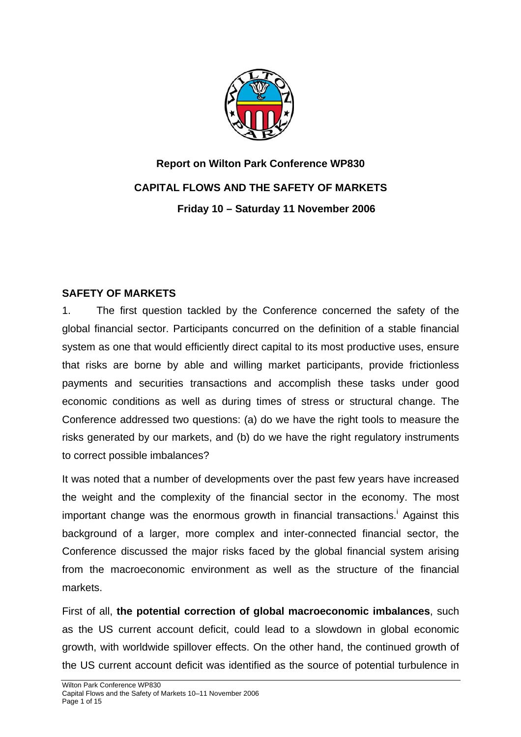

# **Report on Wilton Park Conference WP830 CAPITAL FLOWS AND THE SAFETY OF MARKETS Friday 10 – Saturday 11 November 2006**

## **SAFETY OF MARKETS**

1. The first question tackled by the Conference concerned the safety of the global financial sector. Participants concurred on the definition of a stable financial system as one that would efficiently direct capital to its most productive uses, ensure that risks are borne by able and willing market participants, provide frictionless payments and securities transactions and accomplish these tasks under good economic conditions as well as during times of stress or structural change. The Conference addressed two questions: (a) do we have the right tools to measure the risks generated by our markets, and (b) do we have the right regulatory instruments to correct possible imbalances?

It was noted that a number of developments over the past few years have increased the weight and the complexity of the financial sector in the economy. The most importantchange was the enormous growth in financial transactions.<sup>i</sup> Against this background of a larger, more complex and inter-connected financial sector, the Conference discussed the major risks faced by the global financial system arising from the macroeconomic environment as well as the structure of the financial markets.

First of all, **the potential correction of global macroeconomic imbalances**, such as the US current account deficit, could lead to a slowdown in global economic growth, with worldwide spillover effects. On the other hand, the continued growth of the US current account deficit was identified as the source of potential turbulence in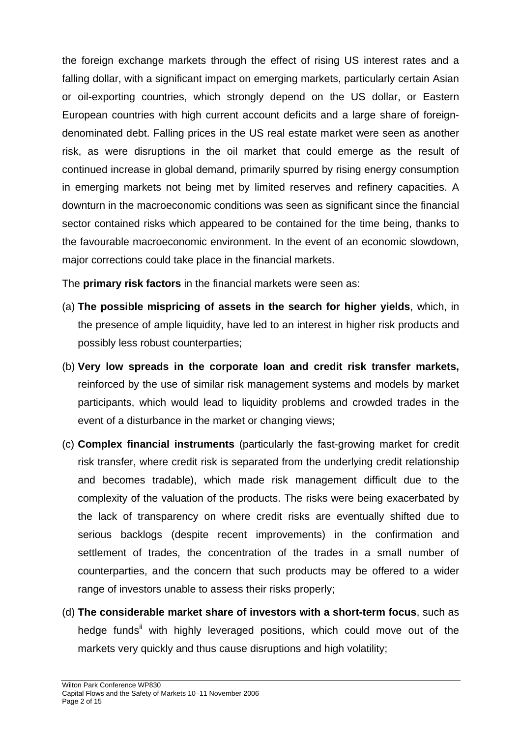the foreign exchange markets through the effect of rising US interest rates and a falling dollar, with a significant impact on emerging markets, particularly certain Asian or oil-exporting countries, which strongly depend on the US dollar, or Eastern European countries with high current account deficits and a large share of foreigndenominated debt. Falling prices in the US real estate market were seen as another risk, as were disruptions in the oil market that could emerge as the result of continued increase in global demand, primarily spurred by rising energy consumption in emerging markets not being met by limited reserves and refinery capacities. A downturn in the macroeconomic conditions was seen as significant since the financial sector contained risks which appeared to be contained for the time being, thanks to the favourable macroeconomic environment. In the event of an economic slowdown, major corrections could take place in the financial markets.

The **primary risk factors** in the financial markets were seen as:

- (a) **The possible mispricing of assets in the search for higher yields**, which, in the presence of ample liquidity, have led to an interest in higher risk products and possibly less robust counterparties;
- (b) **Very low spreads in the corporate loan and credit risk transfer markets,**  reinforced by the use of similar risk management systems and models by market participants, which would lead to liquidity problems and crowded trades in the event of a disturbance in the market or changing views;
- (c) **Complex financial instruments** (particularly the fast-growing market for credit risk transfer, where credit risk is separated from the underlying credit relationship and becomes tradable), which made risk management difficult due to the complexity of the valuation of the products. The risks were being exacerbated by the lack of transparency on where credit risks are eventually shifted due to serious backlogs (despite recent improvements) in the confirmation and settlement of trades, the concentration of the trades in a small number of counterparties, and the concern that such products may be offered to a wider range of investors unable to assess their risks properly;
- (d) **The considerable market share of investors with a short-term focus**, such as hedge funds<sup>ii</sup> with highly leveraged positions, which could move out of the markets very quickly and thus cause disruptions and high volatility;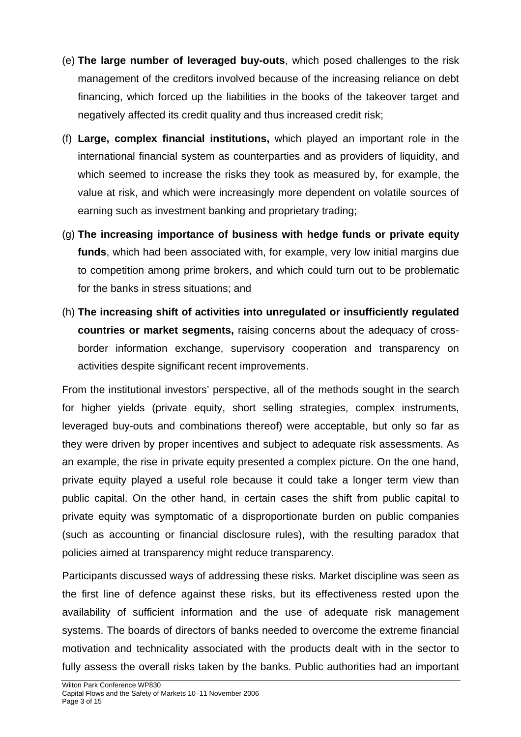- (e) **The large number of leveraged buy-outs**, which posed challenges to the risk management of the creditors involved because of the increasing reliance on debt financing, which forced up the liabilities in the books of the takeover target and negatively affected its credit quality and thus increased credit risk;
- (f) **Large, complex financial institutions,** which played an important role in the international financial system as counterparties and as providers of liquidity, and which seemed to increase the risks they took as measured by, for example, the value at risk, and which were increasingly more dependent on volatile sources of earning such as investment banking and proprietary trading;
- (g) **The increasing importance of business with hedge funds or private equity funds**, which had been associated with, for example, very low initial margins due to competition among prime brokers, and which could turn out to be problematic for the banks in stress situations; and
- (h) **The increasing shift of activities into unregulated or insufficiently regulated countries or market segments,** raising concerns about the adequacy of crossborder information exchange, supervisory cooperation and transparency on activities despite significant recent improvements.

From the institutional investors' perspective, all of the methods sought in the search for higher yields (private equity, short selling strategies, complex instruments, leveraged buy-outs and combinations thereof) were acceptable, but only so far as they were driven by proper incentives and subject to adequate risk assessments. As an example, the rise in private equity presented a complex picture. On the one hand, private equity played a useful role because it could take a longer term view than public capital. On the other hand, in certain cases the shift from public capital to private equity was symptomatic of a disproportionate burden on public companies (such as accounting or financial disclosure rules), with the resulting paradox that policies aimed at transparency might reduce transparency.

Participants discussed ways of addressing these risks. Market discipline was seen as the first line of defence against these risks, but its effectiveness rested upon the availability of sufficient information and the use of adequate risk management systems. The boards of directors of banks needed to overcome the extreme financial motivation and technicality associated with the products dealt with in the sector to fully assess the overall risks taken by the banks. Public authorities had an important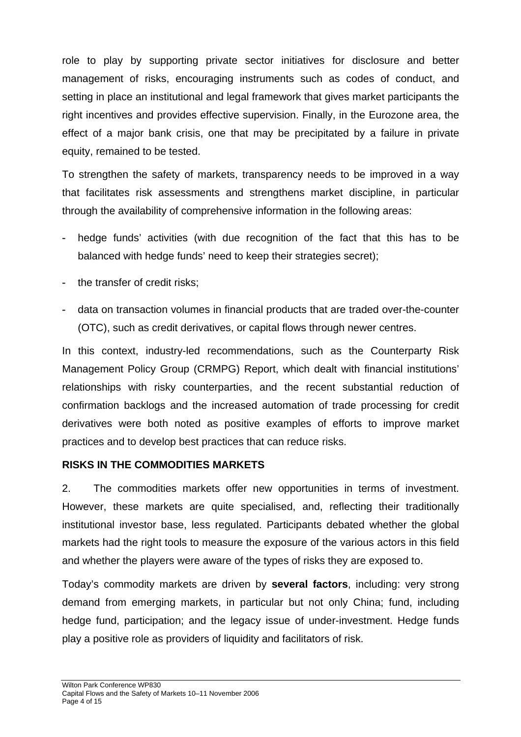role to play by supporting private sector initiatives for disclosure and better management of risks, encouraging instruments such as codes of conduct, and setting in place an institutional and legal framework that gives market participants the right incentives and provides effective supervision. Finally, in the Eurozone area, the effect of a major bank crisis, one that may be precipitated by a failure in private equity, remained to be tested.

To strengthen the safety of markets, transparency needs to be improved in a way that facilitates risk assessments and strengthens market discipline, in particular through the availability of comprehensive information in the following areas:

- hedge funds' activities (with due recognition of the fact that this has to be balanced with hedge funds' need to keep their strategies secret);
- the transfer of credit risks;
- data on transaction volumes in financial products that are traded over-the-counter (OTC), such as credit derivatives, or capital flows through newer centres.

In this context, industry-led recommendations, such as the Counterparty Risk Management Policy Group (CRMPG) Report, which dealt with financial institutions' relationships with risky counterparties, and the recent substantial reduction of confirmation backlogs and the increased automation of trade processing for credit derivatives were both noted as positive examples of efforts to improve market practices and to develop best practices that can reduce risks.

### **RISKS IN THE COMMODITIES MARKETS**

2. The commodities markets offer new opportunities in terms of investment. However, these markets are quite specialised, and, reflecting their traditionally institutional investor base, less regulated. Participants debated whether the global markets had the right tools to measure the exposure of the various actors in this field and whether the players were aware of the types of risks they are exposed to.

Today's commodity markets are driven by **several factors**, including: very strong demand from emerging markets, in particular but not only China; fund, including hedge fund, participation; and the legacy issue of under-investment. Hedge funds play a positive role as providers of liquidity and facilitators of risk.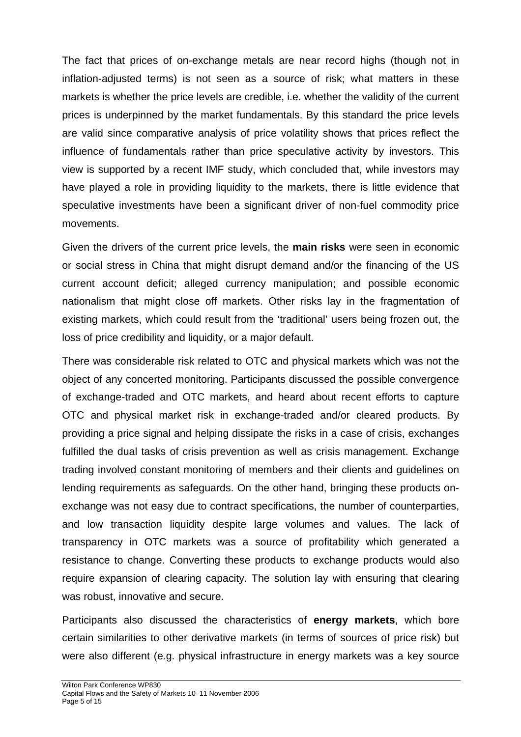The fact that prices of on-exchange metals are near record highs (though not in inflation-adjusted terms) is not seen as a source of risk; what matters in these markets is whether the price levels are credible, i.e. whether the validity of the current prices is underpinned by the market fundamentals. By this standard the price levels are valid since comparative analysis of price volatility shows that prices reflect the influence of fundamentals rather than price speculative activity by investors. This view is supported by a recent IMF study, which concluded that, while investors may have played a role in providing liquidity to the markets, there is little evidence that speculative investments have been a significant driver of non-fuel commodity price movements.

Given the drivers of the current price levels, the **main risks** were seen in economic or social stress in China that might disrupt demand and/or the financing of the US current account deficit; alleged currency manipulation; and possible economic nationalism that might close off markets. Other risks lay in the fragmentation of existing markets, which could result from the 'traditional' users being frozen out, the loss of price credibility and liquidity, or a major default.

There was considerable risk related to OTC and physical markets which was not the object of any concerted monitoring. Participants discussed the possible convergence of exchange-traded and OTC markets, and heard about recent efforts to capture OTC and physical market risk in exchange-traded and/or cleared products. By providing a price signal and helping dissipate the risks in a case of crisis, exchanges fulfilled the dual tasks of crisis prevention as well as crisis management. Exchange trading involved constant monitoring of members and their clients and guidelines on lending requirements as safeguards. On the other hand, bringing these products onexchange was not easy due to contract specifications, the number of counterparties, and low transaction liquidity despite large volumes and values. The lack of transparency in OTC markets was a source of profitability which generated a resistance to change. Converting these products to exchange products would also require expansion of clearing capacity. The solution lay with ensuring that clearing was robust, innovative and secure.

Participants also discussed the characteristics of **energy markets**, which bore certain similarities to other derivative markets (in terms of sources of price risk) but were also different (e.g. physical infrastructure in energy markets was a key source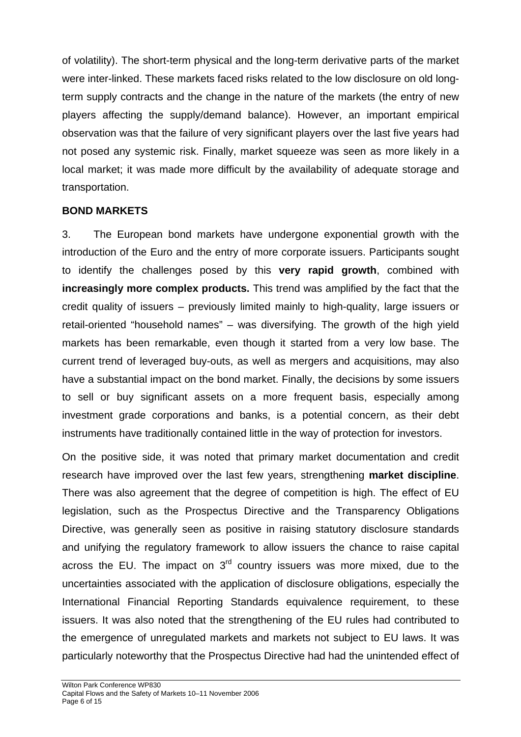of volatility). The short-term physical and the long-term derivative parts of the market were inter-linked. These markets faced risks related to the low disclosure on old longterm supply contracts and the change in the nature of the markets (the entry of new players affecting the supply/demand balance). However, an important empirical observation was that the failure of very significant players over the last five years had not posed any systemic risk. Finally, market squeeze was seen as more likely in a local market; it was made more difficult by the availability of adequate storage and transportation.

## **BOND MARKETS**

3. The European bond markets have undergone exponential growth with the introduction of the Euro and the entry of more corporate issuers. Participants sought to identify the challenges posed by this **very rapid growth**, combined with **increasingly more complex products.** This trend was amplified by the fact that the credit quality of issuers – previously limited mainly to high-quality, large issuers or retail-oriented "household names" – was diversifying. The growth of the high yield markets has been remarkable, even though it started from a very low base. The current trend of leveraged buy-outs, as well as mergers and acquisitions, may also have a substantial impact on the bond market. Finally, the decisions by some issuers to sell or buy significant assets on a more frequent basis, especially among investment grade corporations and banks, is a potential concern, as their debt instruments have traditionally contained little in the way of protection for investors.

On the positive side, it was noted that primary market documentation and credit research have improved over the last few years, strengthening **market discipline**. There was also agreement that the degree of competition is high. The effect of EU legislation, such as the Prospectus Directive and the Transparency Obligations Directive, was generally seen as positive in raising statutory disclosure standards and unifying the regulatory framework to allow issuers the chance to raise capital across the EU. The impact on  $3<sup>rd</sup>$  country issuers was more mixed, due to the uncertainties associated with the application of disclosure obligations, especially the International Financial Reporting Standards equivalence requirement, to these issuers. It was also noted that the strengthening of the EU rules had contributed to the emergence of unregulated markets and markets not subject to EU laws. It was particularly noteworthy that the Prospectus Directive had had the unintended effect of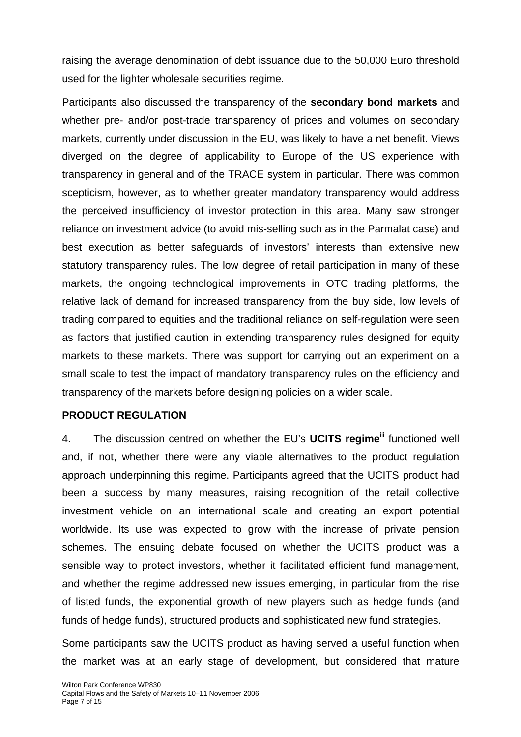raising the average denomination of debt issuance due to the 50,000 Euro threshold used for the lighter wholesale securities regime.

Participants also discussed the transparency of the **secondary bond markets** and whether pre- and/or post-trade transparency of prices and volumes on secondary markets, currently under discussion in the EU, was likely to have a net benefit. Views diverged on the degree of applicability to Europe of the US experience with transparency in general and of the TRACE system in particular. There was common scepticism, however, as to whether greater mandatory transparency would address the perceived insufficiency of investor protection in this area. Many saw stronger reliance on investment advice (to avoid mis-selling such as in the Parmalat case) and best execution as better safeguards of investors' interests than extensive new statutory transparency rules. The low degree of retail participation in many of these markets, the ongoing technological improvements in OTC trading platforms, the relative lack of demand for increased transparency from the buy side, low levels of trading compared to equities and the traditional reliance on self-regulation were seen as factors that justified caution in extending transparency rules designed for equity markets to these markets. There was support for carrying out an experiment on a small scale to test the impact of mandatory transparency rules on the efficiency and transparency of the markets before designing policies on a wider scale.

### **PRODUCT REGULATION**

4. The discussion centred on whether the EU's **UCITS regime**<sup>iii</sup> functioned well and, if not, whether there were any viable alternatives to the product regulation approach underpinning this regime. Participants agreed that the UCITS product had been a success by many measures, raising recognition of the retail collective investment vehicle on an international scale and creating an export potential worldwide. Its use was expected to grow with the increase of private pension schemes. The ensuing debate focused on whether the UCITS product was a sensible way to protect investors, whether it facilitated efficient fund management, and whether the regime addressed new issues emerging, in particular from the rise of listed funds, the exponential growth of new players such as hedge funds (and funds of hedge funds), structured products and sophisticated new fund strategies.

Some participants saw the UCITS product as having served a useful function when the market was at an early stage of development, but considered that mature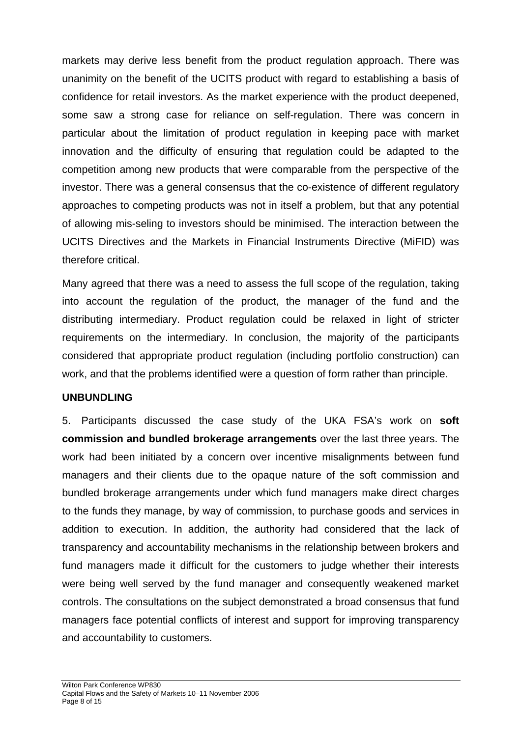markets may derive less benefit from the product regulation approach. There was unanimity on the benefit of the UCITS product with regard to establishing a basis of confidence for retail investors. As the market experience with the product deepened, some saw a strong case for reliance on self-regulation. There was concern in particular about the limitation of product regulation in keeping pace with market innovation and the difficulty of ensuring that regulation could be adapted to the competition among new products that were comparable from the perspective of the investor. There was a general consensus that the co-existence of different regulatory approaches to competing products was not in itself a problem, but that any potential of allowing mis-seling to investors should be minimised. The interaction between the UCITS Directives and the Markets in Financial Instruments Directive (MiFID) was therefore critical.

Many agreed that there was a need to assess the full scope of the regulation, taking into account the regulation of the product, the manager of the fund and the distributing intermediary. Product regulation could be relaxed in light of stricter requirements on the intermediary. In conclusion, the majority of the participants considered that appropriate product regulation (including portfolio construction) can work, and that the problems identified were a question of form rather than principle.

### **UNBUNDLING**

5. Participants discussed the case study of the UKA FSA's work on **soft commission and bundled brokerage arrangements** over the last three years. The work had been initiated by a concern over incentive misalignments between fund managers and their clients due to the opaque nature of the soft commission and bundled brokerage arrangements under which fund managers make direct charges to the funds they manage, by way of commission, to purchase goods and services in addition to execution. In addition, the authority had considered that the lack of transparency and accountability mechanisms in the relationship between brokers and fund managers made it difficult for the customers to judge whether their interests were being well served by the fund manager and consequently weakened market controls. The consultations on the subject demonstrated a broad consensus that fund managers face potential conflicts of interest and support for improving transparency and accountability to customers.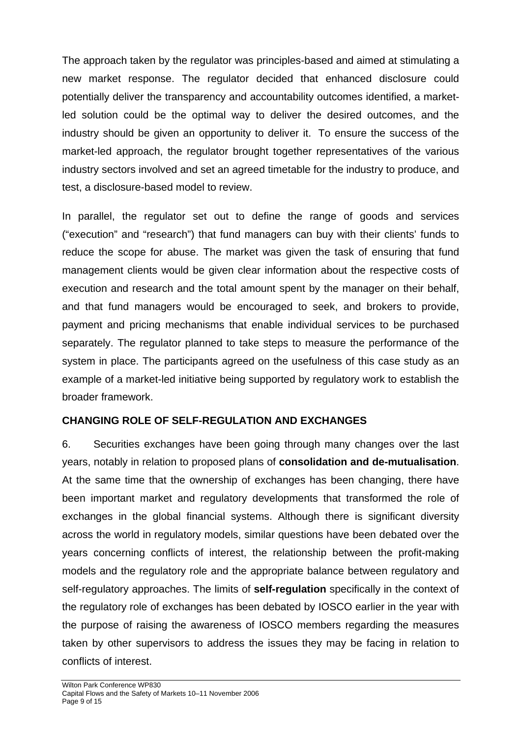The approach taken by the regulator was principles-based and aimed at stimulating a new market response. The regulator decided that enhanced disclosure could potentially deliver the transparency and accountability outcomes identified, a marketled solution could be the optimal way to deliver the desired outcomes, and the industry should be given an opportunity to deliver it. To ensure the success of the market-led approach, the regulator brought together representatives of the various industry sectors involved and set an agreed timetable for the industry to produce, and test, a disclosure-based model to review.

In parallel, the regulator set out to define the range of goods and services ("execution" and "research") that fund managers can buy with their clients' funds to reduce the scope for abuse. The market was given the task of ensuring that fund management clients would be given clear information about the respective costs of execution and research and the total amount spent by the manager on their behalf, and that fund managers would be encouraged to seek, and brokers to provide, payment and pricing mechanisms that enable individual services to be purchased separately. The regulator planned to take steps to measure the performance of the system in place. The participants agreed on the usefulness of this case study as an example of a market-led initiative being supported by regulatory work to establish the broader framework.

## **CHANGING ROLE OF SELF-REGULATION AND EXCHANGES**

6. Securities exchanges have been going through many changes over the last years, notably in relation to proposed plans of **consolidation and de-mutualisation**. At the same time that the ownership of exchanges has been changing, there have been important market and regulatory developments that transformed the role of exchanges in the global financial systems. Although there is significant diversity across the world in regulatory models, similar questions have been debated over the years concerning conflicts of interest, the relationship between the profit-making models and the regulatory role and the appropriate balance between regulatory and self-regulatory approaches. The limits of **self-regulation** specifically in the context of the regulatory role of exchanges has been debated by IOSCO earlier in the year with the purpose of raising the awareness of IOSCO members regarding the measures taken by other supervisors to address the issues they may be facing in relation to conflicts of interest.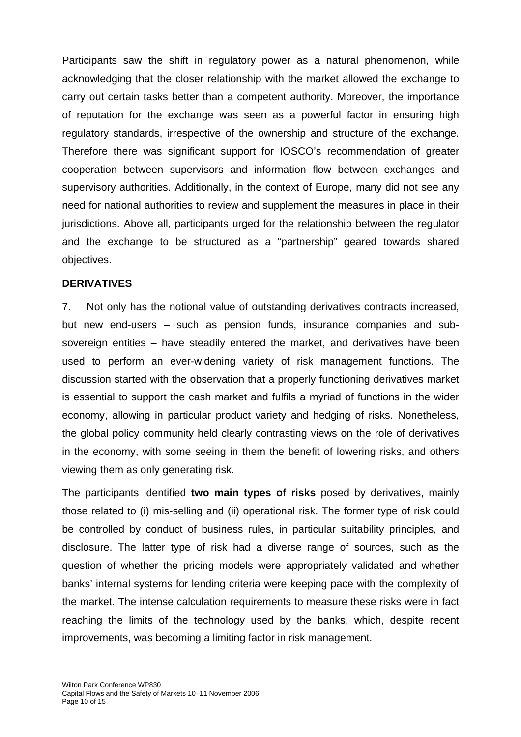Participants saw the shift in regulatory power as a natural phenomenon, while acknowledging that the closer relationship with the market allowed the exchange to carry out certain tasks better than a competent authority. Moreover, the importance of reputation for the exchange was seen as a powerful factor in ensuring high regulatory standards, irrespective of the ownership and structure of the exchange. Therefore there was significant support for IOSCO's recommendation of greater cooperation between supervisors and information flow between exchanges and supervisory authorities. Additionally, in the context of Europe, many did not see any need for national authorities to review and supplement the measures in place in their jurisdictions. Above all, participants urged for the relationship between the regulator and the exchange to be structured as a "partnership" geared towards shared objectives.

#### **DERIVATIVES**

7. Not only has the notional value of outstanding derivatives contracts increased, but new end-users – such as pension funds, insurance companies and subsovereign entities – have steadily entered the market, and derivatives have been used to perform an ever-widening variety of risk management functions. The discussion started with the observation that a properly functioning derivatives market is essential to support the cash market and fulfils a myriad of functions in the wider economy, allowing in particular product variety and hedging of risks. Nonetheless, the global policy community held clearly contrasting views on the role of derivatives in the economy, with some seeing in them the benefit of lowering risks, and others viewing them as only generating risk.

The participants identified **two main types of risks** posed by derivatives, mainly those related to (i) mis-selling and (ii) operational risk. The former type of risk could be controlled by conduct of business rules, in particular suitability principles, and disclosure. The latter type of risk had a diverse range of sources, such as the question of whether the pricing models were appropriately validated and whether banks' internal systems for lending criteria were keeping pace with the complexity of the market. The intense calculation requirements to measure these risks were in fact reaching the limits of the technology used by the banks, which, despite recent improvements, was becoming a limiting factor in risk management.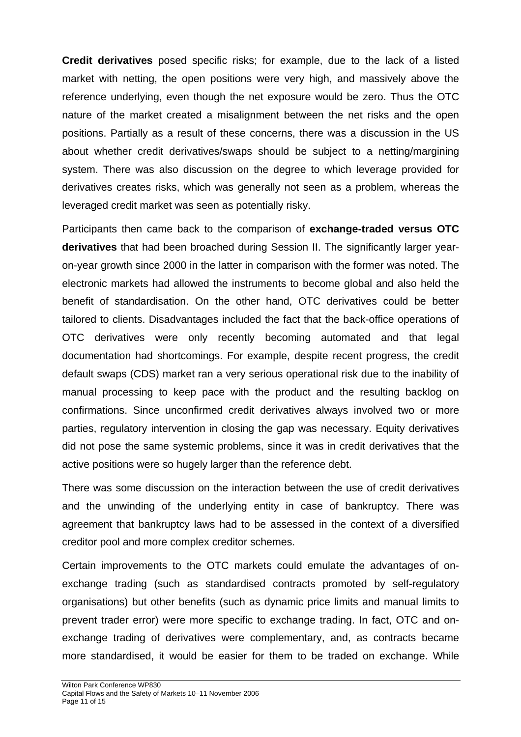**Credit derivatives** posed specific risks; for example, due to the lack of a listed market with netting, the open positions were very high, and massively above the reference underlying, even though the net exposure would be zero. Thus the OTC nature of the market created a misalignment between the net risks and the open positions. Partially as a result of these concerns, there was a discussion in the US about whether credit derivatives/swaps should be subject to a netting/margining system. There was also discussion on the degree to which leverage provided for derivatives creates risks, which was generally not seen as a problem, whereas the leveraged credit market was seen as potentially risky.

Participants then came back to the comparison of **exchange-traded versus OTC derivatives** that had been broached during Session II. The significantly larger yearon-year growth since 2000 in the latter in comparison with the former was noted. The electronic markets had allowed the instruments to become global and also held the benefit of standardisation. On the other hand, OTC derivatives could be better tailored to clients. Disadvantages included the fact that the back-office operations of OTC derivatives were only recently becoming automated and that legal documentation had shortcomings. For example, despite recent progress, the credit default swaps (CDS) market ran a very serious operational risk due to the inability of manual processing to keep pace with the product and the resulting backlog on confirmations. Since unconfirmed credit derivatives always involved two or more parties, regulatory intervention in closing the gap was necessary. Equity derivatives did not pose the same systemic problems, since it was in credit derivatives that the active positions were so hugely larger than the reference debt.

There was some discussion on the interaction between the use of credit derivatives and the unwinding of the underlying entity in case of bankruptcy. There was agreement that bankruptcy laws had to be assessed in the context of a diversified creditor pool and more complex creditor schemes.

Certain improvements to the OTC markets could emulate the advantages of onexchange trading (such as standardised contracts promoted by self-regulatory organisations) but other benefits (such as dynamic price limits and manual limits to prevent trader error) were more specific to exchange trading. In fact, OTC and onexchange trading of derivatives were complementary, and, as contracts became more standardised, it would be easier for them to be traded on exchange. While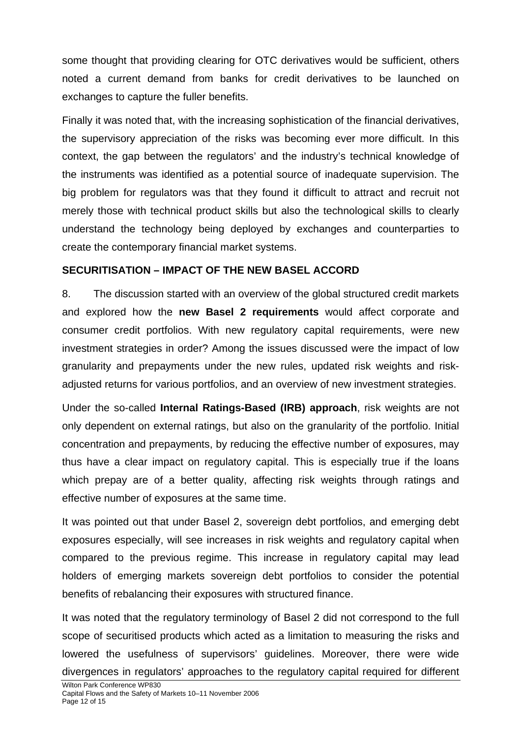some thought that providing clearing for OTC derivatives would be sufficient, others noted a current demand from banks for credit derivatives to be launched on exchanges to capture the fuller benefits.

Finally it was noted that, with the increasing sophistication of the financial derivatives, the supervisory appreciation of the risks was becoming ever more difficult. In this context, the gap between the regulators' and the industry's technical knowledge of the instruments was identified as a potential source of inadequate supervision. The big problem for regulators was that they found it difficult to attract and recruit not merely those with technical product skills but also the technological skills to clearly understand the technology being deployed by exchanges and counterparties to create the contemporary financial market systems.

## **SECURITISATION – IMPACT OF THE NEW BASEL ACCORD**

8. The discussion started with an overview of the global structured credit markets and explored how the **new Basel 2 requirements** would affect corporate and consumer credit portfolios. With new regulatory capital requirements, were new investment strategies in order? Among the issues discussed were the impact of low granularity and prepayments under the new rules, updated risk weights and riskadjusted returns for various portfolios, and an overview of new investment strategies.

Under the so-called **Internal Ratings-Based (IRB) approach**, risk weights are not only dependent on external ratings, but also on the granularity of the portfolio. Initial concentration and prepayments, by reducing the effective number of exposures, may thus have a clear impact on regulatory capital. This is especially true if the loans which prepay are of a better quality, affecting risk weights through ratings and effective number of exposures at the same time.

It was pointed out that under Basel 2, sovereign debt portfolios, and emerging debt exposures especially, will see increases in risk weights and regulatory capital when compared to the previous regime. This increase in regulatory capital may lead holders of emerging markets sovereign debt portfolios to consider the potential benefits of rebalancing their exposures with structured finance.

It was noted that the regulatory terminology of Basel 2 did not correspond to the full scope of securitised products which acted as a limitation to measuring the risks and lowered the usefulness of supervisors' guidelines. Moreover, there were wide divergences in regulators' approaches to the regulatory capital required for different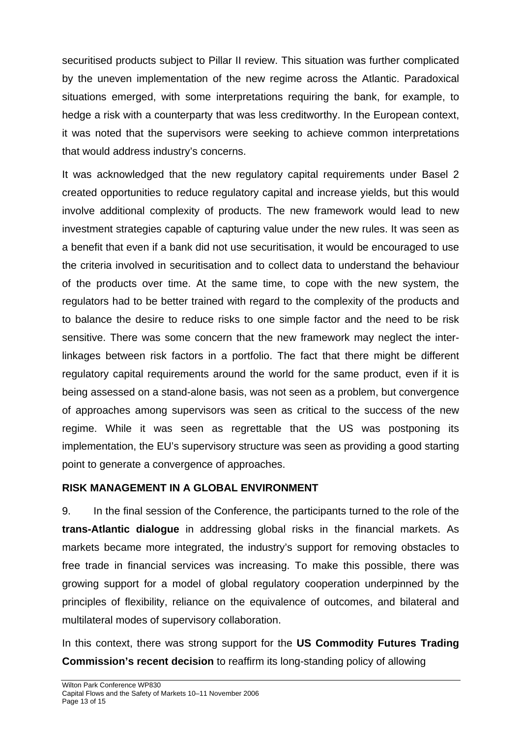securitised products subject to Pillar II review. This situation was further complicated by the uneven implementation of the new regime across the Atlantic. Paradoxical situations emerged, with some interpretations requiring the bank, for example, to hedge a risk with a counterparty that was less creditworthy. In the European context, it was noted that the supervisors were seeking to achieve common interpretations that would address industry's concerns.

It was acknowledged that the new regulatory capital requirements under Basel 2 created opportunities to reduce regulatory capital and increase yields, but this would involve additional complexity of products. The new framework would lead to new investment strategies capable of capturing value under the new rules. It was seen as a benefit that even if a bank did not use securitisation, it would be encouraged to use the criteria involved in securitisation and to collect data to understand the behaviour of the products over time. At the same time, to cope with the new system, the regulators had to be better trained with regard to the complexity of the products and to balance the desire to reduce risks to one simple factor and the need to be risk sensitive. There was some concern that the new framework may neglect the interlinkages between risk factors in a portfolio. The fact that there might be different regulatory capital requirements around the world for the same product, even if it is being assessed on a stand-alone basis, was not seen as a problem, but convergence of approaches among supervisors was seen as critical to the success of the new regime. While it was seen as regrettable that the US was postponing its implementation, the EU's supervisory structure was seen as providing a good starting point to generate a convergence of approaches.

## **RISK MANAGEMENT IN A GLOBAL ENVIRONMENT**

9. In the final session of the Conference, the participants turned to the role of the **trans-Atlantic dialogue** in addressing global risks in the financial markets. As markets became more integrated, the industry's support for removing obstacles to free trade in financial services was increasing. To make this possible, there was growing support for a model of global regulatory cooperation underpinned by the principles of flexibility, reliance on the equivalence of outcomes, and bilateral and multilateral modes of supervisory collaboration.

In this context, there was strong support for the **US Commodity Futures Trading Commission's recent decision** to reaffirm its long-standing policy of allowing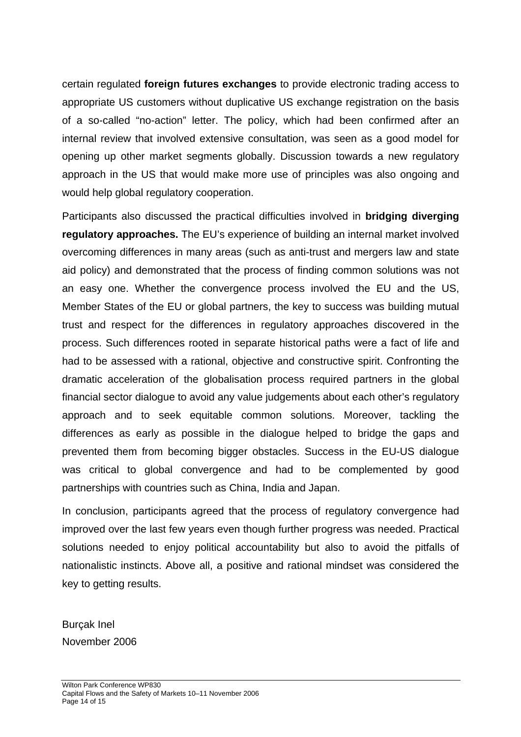certain regulated **foreign futures exchanges** to provide electronic trading access to appropriate US customers without duplicative US exchange registration on the basis of a so-called "no-action" letter. The policy, which had been confirmed after an internal review that involved extensive consultation, was seen as a good model for opening up other market segments globally. Discussion towards a new regulatory approach in the US that would make more use of principles was also ongoing and would help global regulatory cooperation.

Participants also discussed the practical difficulties involved in **bridging diverging regulatory approaches.** The EU's experience of building an internal market involved overcoming differences in many areas (such as anti-trust and mergers law and state aid policy) and demonstrated that the process of finding common solutions was not an easy one. Whether the convergence process involved the EU and the US, Member States of the EU or global partners, the key to success was building mutual trust and respect for the differences in regulatory approaches discovered in the process. Such differences rooted in separate historical paths were a fact of life and had to be assessed with a rational, objective and constructive spirit. Confronting the dramatic acceleration of the globalisation process required partners in the global financial sector dialogue to avoid any value judgements about each other's regulatory approach and to seek equitable common solutions. Moreover, tackling the differences as early as possible in the dialogue helped to bridge the gaps and prevented them from becoming bigger obstacles. Success in the EU-US dialogue was critical to global convergence and had to be complemented by good partnerships with countries such as China, India and Japan.

In conclusion, participants agreed that the process of regulatory convergence had improved over the last few years even though further progress was needed. Practical solutions needed to enjoy political accountability but also to avoid the pitfalls of nationalistic instincts. Above all, a positive and rational mindset was considered the key to getting results.

Burçak Inel November 2006